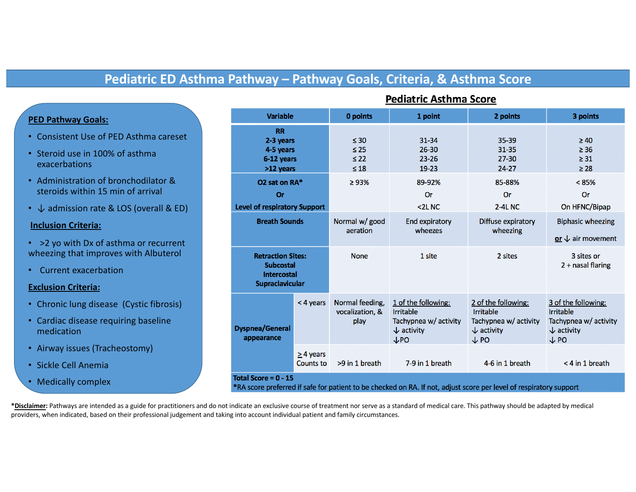# **Pediatric ED Asthma Pathway – Pathway Goals, Criteria, & Asthma Score**

# **PED Pathway Goals:**

- Consistent Use of PED Asthma careset
- Steroid use in 100% of asthma exacerbations
- Administration of bronchodilator & steroids within 15 min of arrival
- ↓ admission rate & LOS (overall & ED)

# **Inclusion Criteria:**

- >2 yo with Dx of asthma or recurrent wheezing that improves with Albuterol
- Current exacerbation

# **Exclusion Criteria:**

- Chronic lung disease (Cystic fibrosis)
- Cardiac disease requiring baseline medication
- Airway issues (Tracheostomy)
- Sickle Cell Anemia
- Medically complex

| <b>Variable</b>                                                                                                                              |                                    | 0 points                                         | 1 point                                                                                                      | 2 points                                                                                                     | 3 points                                                                                                     |  |
|----------------------------------------------------------------------------------------------------------------------------------------------|------------------------------------|--------------------------------------------------|--------------------------------------------------------------------------------------------------------------|--------------------------------------------------------------------------------------------------------------|--------------------------------------------------------------------------------------------------------------|--|
| <b>RR</b><br>2-3 years<br>4-5 years<br>6-12 years<br>>12 years                                                                               |                                    | $\leq 30$<br>$\leq 25$<br>$\leq 22$<br>$\leq 18$ | $31 - 34$<br>$26 - 30$<br>$23 - 26$<br>$19-23$                                                               | 35-39<br>31-35<br>$27 - 30$<br>$24 - 27$                                                                     | $\geq 40$<br>$\geq$ 36<br>$\geq 31$<br>$\geq 28$                                                             |  |
| O2 sat on RA*<br>Or<br><b>Level of respiratory Support</b>                                                                                   |                                    | $\geq 93\%$                                      | 89-92%<br>Or<br>2LNC                                                                                         | 85-88%<br>Or<br><b>2-4L NC</b>                                                                               | $< 85\%$<br>Or<br>On HFNC/Bipap                                                                              |  |
| <b>Breath Sounds</b>                                                                                                                         |                                    | Normal w/ good<br>aeration                       | <b>End expiratory</b><br>wheezes                                                                             | Diffuse expiratory<br>wheezing                                                                               | <b>Biphasic wheezing</b><br>or $\downarrow$ air movement                                                     |  |
| <b>Retraction Sites:</b><br><b>Subcostal</b><br><b>Intercostal</b><br><b>Supraclavicular</b>                                                 |                                    | <b>None</b>                                      | 1 site                                                                                                       | 2 sites                                                                                                      | 3 sites or<br>2 + nasal flaring                                                                              |  |
| <b>Dyspnea/General</b><br>appearance                                                                                                         | < 4 years                          | Normal feeding,<br>vocalization, &<br>play       | 1 of the following:<br><b>Irritable</b><br>Tachypnea w/ activity<br>$\downarrow$ activity<br>$\downarrow$ PO | 2 of the following:<br><b>Irritable</b><br>Tachypnea w/ activity<br>$\downarrow$ activity<br>$\downarrow$ PO | 3 of the following:<br><b>Irritable</b><br>Tachypnea w/ activity<br>$\downarrow$ activity<br>$\downarrow$ PO |  |
|                                                                                                                                              | $\geq$ 4 years<br><b>Counts to</b> | >9 in 1 breath                                   | 7-9 in 1 breath                                                                                              | 4-6 in 1 breath                                                                                              | < 4 in 1 breath                                                                                              |  |
| Total Score = $0 - 15$<br>*RA score preferred if safe for patient to be checked on RA. If not, adjust score per level of respiratory support |                                    |                                                  |                                                                                                              |                                                                                                              |                                                                                                              |  |

**Pediatric Asthma Score** 

**\*Disclaimer:** Pathways are intended as a guide for practitioners and do not indicate an exclusive course of treatment nor serve as a standard of medical care. This pathway should be adapted by medical providers, when indicated, based on their professional judgement and taking into account individual patient and family circumstances.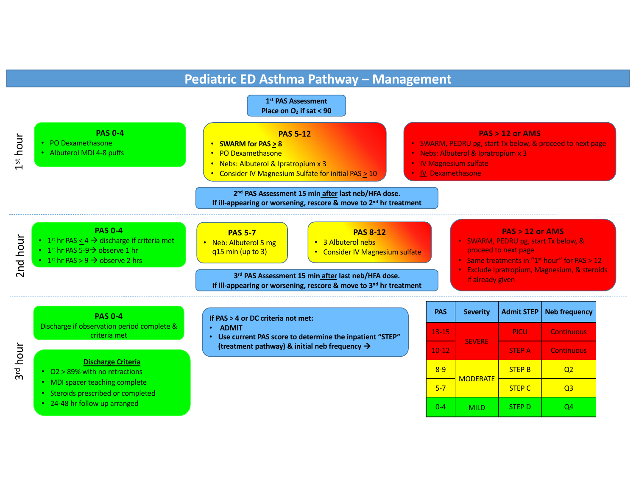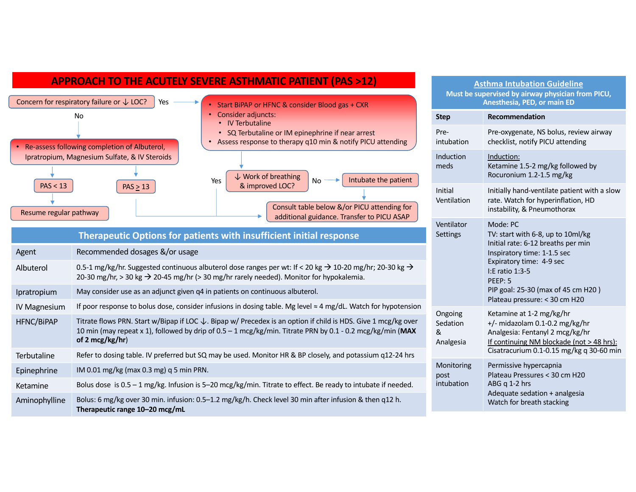# **APPROACH TO THE ACUTELY SEVERE ASTHMATIC PATIENT (PAS >12)**



| Agent               | Recommended dosages &/or usage                                                                                                                                                                                                                            |    |  |  |  |
|---------------------|-----------------------------------------------------------------------------------------------------------------------------------------------------------------------------------------------------------------------------------------------------------|----|--|--|--|
| Albuterol           | 0.5-1 mg/kg/hr. Suggested continuous albuterol dose ranges per wt: If < 20 kg $\rightarrow$ 10-20 mg/hr; 20-30 kg $\rightarrow$<br>20-30 mg/hr, > 30 kg $\rightarrow$ 20-45 mg/hr (> 30 mg/hr rarely needed). Monitor for hypokalemia.                    |    |  |  |  |
| Ipratropium         | May consider use as an adjunct given q4 in patients on continuous albuterol.                                                                                                                                                                              |    |  |  |  |
| <b>IV Magnesium</b> | If poor response to bolus dose, consider infusions in dosing table. Mg level $\approx$ 4 mg/dL. Watch for hypotension                                                                                                                                     | On |  |  |  |
| <b>HFNC/BiPAP</b>   | Titrate flows PRN. Start w/Bipap if LOC $\downarrow$ . Bipap w/ Precedex is an option if child is HDS. Give 1 mcg/kg over<br>10 min (may repeat x 1), followed by drip of 0.5 - 1 mcg/kg/min. Titrate PRN by 0.1 - 0.2 mcg/kg/min (MAX<br>of 2 mcg/kg/hr) |    |  |  |  |
| <b>Terbutaline</b>  | Refer to dosing table. IV preferred but SQ may be used. Monitor HR & BP closely, and potassium q12-24 hrs                                                                                                                                                 | Mc |  |  |  |
| Epinephrine         | IM 0.01 mg/kg (max 0.3 mg) q 5 min PRN.                                                                                                                                                                                                                   |    |  |  |  |
| Ketamine            | Bolus dose is $0.5 - 1$ mg/kg. Infusion is $5-20$ mcg/kg/min. Titrate to effect. Be ready to intubate if needed.                                                                                                                                          |    |  |  |  |
| Aminophylline       | Bolus: 6 mg/kg over 30 min. infusion: 0.5-1.2 mg/kg/h. Check level 30 min after infusion & then q12 h.<br>Therapeutic range 10-20 mcg/mL                                                                                                                  |    |  |  |  |

| <b>Asthma Intubation Guideline</b><br>Must be supervised by airway physician from PICU,<br>Anesthesia, PED, or main ED |                                                                                                                                                                                                                                                     |  |  |  |  |
|------------------------------------------------------------------------------------------------------------------------|-----------------------------------------------------------------------------------------------------------------------------------------------------------------------------------------------------------------------------------------------------|--|--|--|--|
| <b>Step</b>                                                                                                            | <b>Recommendation</b>                                                                                                                                                                                                                               |  |  |  |  |
| Pre-<br>intubation                                                                                                     | Pre-oxygenate, NS bolus, review airway<br>checklist, notify PICU attending                                                                                                                                                                          |  |  |  |  |
| Induction<br>meds                                                                                                      | Induction:<br>Ketamine 1.5-2 mg/kg followed by<br>Rocuronium 1.2-1.5 mg/kg                                                                                                                                                                          |  |  |  |  |
| Initial<br>Ventilation                                                                                                 | Initially hand-ventilate patient with a slow<br>rate. Watch for hyperinflation, HD<br>instability, & Pneumothorax                                                                                                                                   |  |  |  |  |
| Ventilator<br>Settings                                                                                                 | Mode: PC<br>TV: start with 6-8, up to 10ml/kg<br>Initial rate: 6-12 breaths per min<br>Inspiratory time: 1-1.5 sec<br>Expiratory time: 4-9 sec<br>I:E ratio 1:3-5<br>PFFP: 5<br>PIP goal: 25-30 (max of 45 cm H20)<br>Plateau pressure: < 30 cm H20 |  |  |  |  |
| Ongoing<br>Sedation<br>&<br>Analgesia                                                                                  | Ketamine at 1-2 mg/kg/hr<br>$+/-$ midazolam 0.1-0.2 mg/kg/hr<br>Analgesia: Fentanyl 2 mcg/kg/hr<br>If continuing NM blockade (not > 48 hrs):<br>Cisatracurium 0.1-0.15 mg/kg q 30-60 min                                                            |  |  |  |  |
| Monitoring<br>post<br>intubation                                                                                       | Permissive hypercapnia<br>Plateau Pressures < 30 cm H20<br>ABG q 1-2 hrs<br>Adequate sedation + analgesia<br>Watch for breath stacking                                                                                                              |  |  |  |  |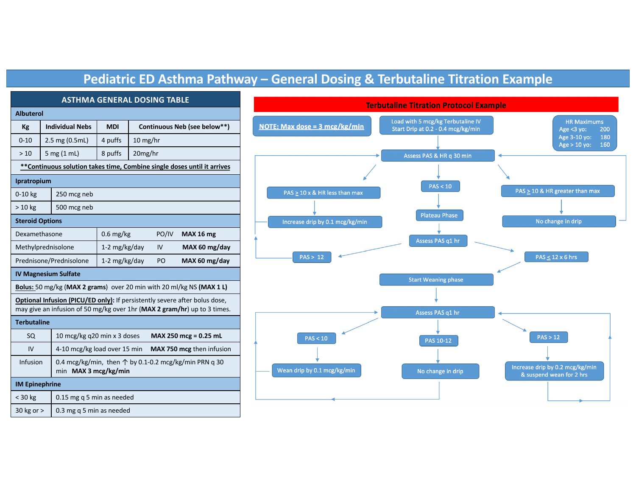# **Pediatric ED Asthma Pathway – General Dosing & Terbutaline Titration Example**

| <b>ASTHMA GENERAL DOSING TABLE</b>                                                                                                                     |                        |                                                                                        |               |                              |       |                  |  |  |  |
|--------------------------------------------------------------------------------------------------------------------------------------------------------|------------------------|----------------------------------------------------------------------------------------|---------------|------------------------------|-------|------------------|--|--|--|
| <b>Albuterol</b>                                                                                                                                       |                        |                                                                                        |               |                              |       |                  |  |  |  |
| Kg                                                                                                                                                     | <b>Individual Nebs</b> |                                                                                        | <b>MDI</b>    | Continuous Neb (see below**) |       |                  |  |  |  |
| $0 - 10$                                                                                                                                               | 2.5 mg (0.5mL)         |                                                                                        | 4 puffs       | $10$ mg/hr                   |       |                  |  |  |  |
| >10                                                                                                                                                    |                        | 5 mg (1 mL)                                                                            | 8 puffs       | 20mg/hr                      |       |                  |  |  |  |
| **Continuous solution takes time, Combine single doses until it arrives                                                                                |                        |                                                                                        |               |                              |       |                  |  |  |  |
| Ipratropium                                                                                                                                            |                        |                                                                                        |               |                              |       |                  |  |  |  |
| $0-10$ kg<br>250 mcg neb                                                                                                                               |                        |                                                                                        |               |                              |       |                  |  |  |  |
| $>10$ kg                                                                                                                                               |                        | 500 mcg neb                                                                            |               |                              |       |                  |  |  |  |
| <b>Steroid Options</b>                                                                                                                                 |                        |                                                                                        |               |                              |       |                  |  |  |  |
| Dexamethasone                                                                                                                                          |                        |                                                                                        | $0.6$ mg/kg   |                              | PO/IV | <b>MAX 16 mg</b> |  |  |  |
| Methylprednisolone                                                                                                                                     |                        |                                                                                        | 1-2 mg/kg/day |                              | IV    | MAX 60 mg/day    |  |  |  |
| Prednisone/Prednisolone                                                                                                                                |                        |                                                                                        | 1-2 mg/kg/day |                              | PO    | MAX 60 mg/day    |  |  |  |
| <b>IV Magnesium Sulfate</b>                                                                                                                            |                        |                                                                                        |               |                              |       |                  |  |  |  |
| Bolus: 50 mg/kg (MAX 2 grams) over 20 min with 20 ml/kg NS (MAX 1 L)                                                                                   |                        |                                                                                        |               |                              |       |                  |  |  |  |
| Optional Infusion (PICU/ED only): If persistently severe after bolus dose,<br>may give an infusion of 50 mg/kg over 1hr (MAX 2 gram/hr) up to 3 times. |                        |                                                                                        |               |                              |       |                  |  |  |  |
| <b>Terbutaline</b>                                                                                                                                     |                        |                                                                                        |               |                              |       |                  |  |  |  |
| <b>SQ</b>                                                                                                                                              |                        | 10 mcg/kg q20 min x 3 doses<br>MAX 250 mcg = 0.25 mL                                   |               |                              |       |                  |  |  |  |
| IV                                                                                                                                                     |                        | 4-10 mcg/kg load over 15 min<br>MAX 750 mcg then infusion                              |               |                              |       |                  |  |  |  |
| Infusion                                                                                                                                               |                        | 0.4 mcg/kg/min, then $\uparrow$ by 0.1-0.2 mcg/kg/min PRN q 30<br>min MAX 3 mcg/kg/min |               |                              |       |                  |  |  |  |
| <b>IM Epinephrine</b>                                                                                                                                  |                        |                                                                                        |               |                              |       |                  |  |  |  |
| $<$ 30 kg                                                                                                                                              |                        | 0.15 mg q 5 min as needed                                                              |               |                              |       |                  |  |  |  |

30 kg or  $>$  0.3 mg q 5 min as needed

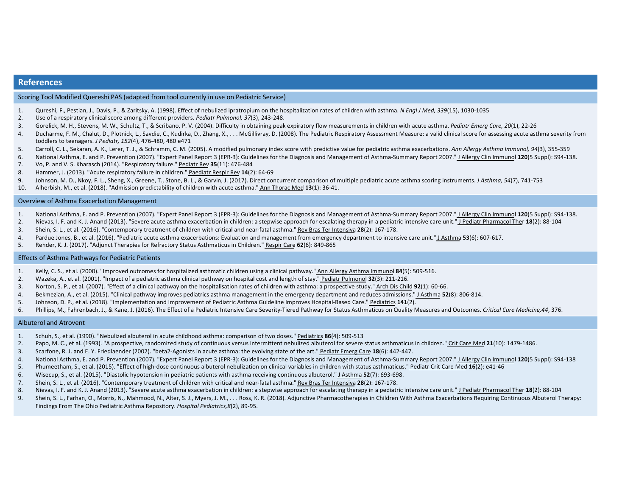## **References**

Scoring Tool Modified Quereshi PAS (adapted from tool currently in use on Pediatric Service)

- 1. Qureshi, F., Pestian, J., Davis, P., & Zaritsky, A. (1998). Effect of nebulized ipratropium on the hospitalization rates of children with asthma. *N Engl J Med, 339*(15), 1030-1035
- 2. Use of a respiratory clinical score among different providers. *Pediatr Pulmonol, 37*(3), 243-248.
- 3. Gorelick, M. H., Stevens, M. W., Schultz, T., & Scribano, P. V. (2004). Difficulty in obtaining peak expiratory flow measurements in children with acute asthma. *Pediatr Emerg Care, 20*(1), 22-26
- 4. Ducharme, F. M., Chalut, D., Plotnick, L., Savdie, C., Kudirka, D., Zhang, X., . . . McGillivray, D. (2008). The Pediatric Respiratory Assessment Measure: a valid clinical score for assessing acute asthma severity from toddlers to teenagers. *J Pediatr, 152*(4), 476-480, 480 e471
- 5. Carroll, C. L., Sekaran, A. K., Lerer, T. J., & Schramm, C. M. (2005). A modified pulmonary index score with predictive value for pediatric asthma exacerbations. *Ann Allergy Asthma Immunol, 94*(3), 355-359
- 6. National Asthma, E. and P. Prevention (2007). "Expert Panel Report 3 (EPR-3): Guidelines for the Diagnosis and Management of Asthma-Summary Report 2007." J Allergy Clin Immunol **120**(5 Suppl): S94-138.
- 7. Vo, P. and V. S. Kharasch (2014). "Respiratory failure." Pediatr Rev **35**(11): 476-484
- 8. Hammer, J. (2013). "Acute respiratory failure in children." Paediatr Respir Rev **14**(2): 64-69
- 9. Johnson, M. D., Nkoy, F. L., Sheng, X., Greene, T., Stone, B. L., & Garvin, J. (2017). Direct concurrent comparison of multiple pediatric acute asthma scoring instruments. *J Asthma, 54*(7), 741-753
- 10. Alherbish, M., et al. (2018). "Admission predictability of children with acute asthma." Ann Thorac Med **13**(1): 36-41.

#### Overview of Asthma Exacerbation Management

- 1. National Asthma, E. and P. Prevention (2007). "Expert Panel Report 3 (EPR-3): Guidelines for the Diagnosis and Management of Asthma-Summary Report 2007." J Allergy Clin Immunol **120**(5 Suppl): S94-138.
- 2. Nievas, I. F. and K. J. Anand (2013). "Severe acute asthma exacerbation in children: a stepwise approach for escalating therapy in a pediatric intensive care unit." J Pediatr Pharmacol Ther **18**(2): 88-104
- 3. Shein, S. L., et al. (2016). "Contemporary treatment of children with critical and near-fatal asthma." Rev Bras Ter Intensiva **28**(2): 167-178.
- 4. Pardue Jones, B., et al. (2016). "Pediatric acute asthma exacerbations: Evaluation and management from emergency department to intensive care unit." J Asthma **53**(6): 607-617.
- 5. Rehder, K. J. (2017). "Adjunct Therapies for Refractory Status Asthmaticus in Children." Respir Care **62**(6): 849-865

#### Effects of Asthma Pathways for Pediatric Patients

- 1. Kelly, C. S., et al. (2000). "Improved outcomes for hospitalized asthmatic children using a clinical pathway." Ann Allergy Asthma Immunol **84**(5): 509-516.
- 2. Wazeka, A., et al. (2001). "Impact of a pediatric asthma clinical pathway on hospital cost and length of stay." Pediatr Pulmonol **32**(3): 211-216.
- 3. Norton, S. P., et al. (2007). "Effect of a clinical pathway on the hospitalisation rates of children with asthma: a prospective study." Arch Dis Child **92**(1): 60-66.
- 4. Bekmezian, A., et al. (2015). "Clinical pathway improves pediatrics asthma management in the emergency department and reduces admissions." J Asthma **52**(8): 806-814.
- 5. Johnson, D. P., et al. (2018). "Implementation and Improvement of Pediatric Asthma Guideline Improves Hospital-Based Care." Pediatrics **141**(2).
- 6. Phillips, M., Fahrenbach, J., & Kane, J. (2016). The Effect of a Pediatric Intensive Care Severity-Tiered Pathway for Status Asthmaticus on Quality Measures and Outcomes. *Critical Care Medicine,44*, 376.

#### Albuterol and Atrovent

- 1. Schuh, S., et al. (1990). "Nebulized albuterol in acute childhood asthma: comparison of two doses." Pediatrics **86**(4): 509-513
- 2. Papo, M. C., et al. (1993). "A prospective, randomized study of continuous versus intermittent nebulized albuterol for severe status asthmaticus in children." Crit Care Med **21**(10): 1479-1486.
- 3. Scarfone, R. J. and E. Y. Friedlaender (2002). "beta2-Agonists in acute asthma: the evolving state of the art." Pediatr Emerg Care **18**(6): 442-447.
- 4. National Asthma, E. and P. Prevention (2007). "Expert Panel Report 3 (EPR-3): Guidelines for the Diagnosis and Management of Asthma-Summary Report 2007." J Allergy Clin Immunol **120**(5 Suppl): S94-138
- 5. Phumeetham, S., et al. (2015). "Effect of high-dose continuous albuterol nebulization on clinical variables in children with status asthmaticus." Pediatr Crit Care Med **16**(2): e41-46
- 6. Wisecup, S., et al. (2015). "Diastolic hypotension in pediatric patients with asthma receiving continuous albuterol." J Asthma **52**(7): 693-698.
- 7. Shein, S. L., et al. (2016). "Contemporary treatment of children with critical and near-fatal asthma." Rev Bras Ter Intensiva **28**(2): 167-178.
- 8. Nievas, I. F. and K. J. Anand (2013). "Severe acute asthma exacerbation in children: a stepwise approach for escalating therapy in a pediatric intensive care unit." J Pediatr Pharmacol Ther **18**(2): 88-104
- 9. Shein, S. L., Farhan, O., Morris, N., Mahmood, N., Alter, S. J., Myers, J. M., . . . Ross, K. R. (2018). Adjunctive Pharmacotherapies in Children With Asthma Exacerbations Requiring Continuous Albuterol Therapy: Findings From The Ohio Pediatric Asthma Repository. *Hospital Pediatrics,8*(2), 89-95.